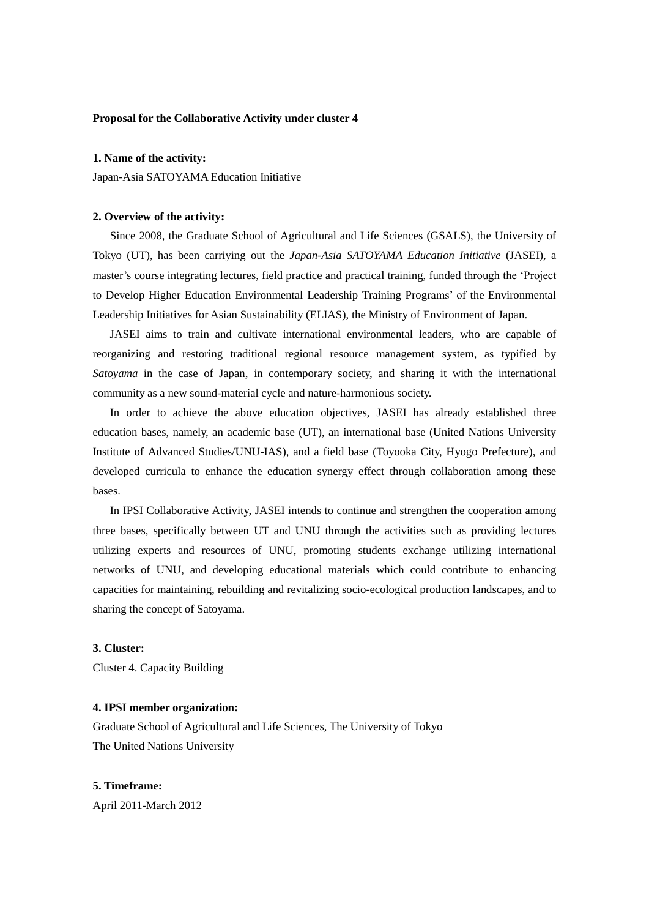# **Proposal for the Collaborative Activity under cluster 4**

### **1. Name of the activity:**

Japan-Asia SATOYAMA Education Initiative

### **2. Overview of the activity:**

 Since 2008, the Graduate School of Agricultural and Life Sciences (GSALS), the University of Tokyo (UT), has been carriying out the *Japan-Asia SATOYAMA Education Initiative* (JASEI), a master's course integrating lectures, field practice and practical training, funded through the 'Project to Develop Higher Education Environmental Leadership Training Programs' of the Environmental Leadership Initiatives for Asian Sustainability (ELIAS), the Ministry of Environment of Japan.

 JASEI aims to train and cultivate international environmental leaders, who are capable of reorganizing and restoring traditional regional resource management system, as typified by *Satoyama* in the case of Japan, in contemporary society, and sharing it with the international community as a new sound-material cycle and nature-harmonious society.

 In order to achieve the above education objectives, JASEI has already established three education bases, namely, an academic base (UT), an international base (United Nations University Institute of Advanced Studies/UNU-IAS), and a field base (Toyooka City, Hyogo Prefecture), and developed curricula to enhance the education synergy effect through collaboration among these bases.

 In IPSI Collaborative Activity, JASEI intends to continue and strengthen the cooperation among three bases, specifically between UT and UNU through the activities such as providing lectures utilizing experts and resources of UNU, promoting students exchange utilizing international networks of UNU, and developing educational materials which could contribute to enhancing capacities for maintaining, rebuilding and revitalizing socio-ecological production landscapes, and to sharing the concept of Satoyama.

#### **3. Cluster:**

Cluster 4. Capacity Building

# **4. IPSI member organization:**

Graduate School of Agricultural and Life Sciences, The University of Tokyo The United Nations University

# **5. Timeframe:**

April 2011-March 2012